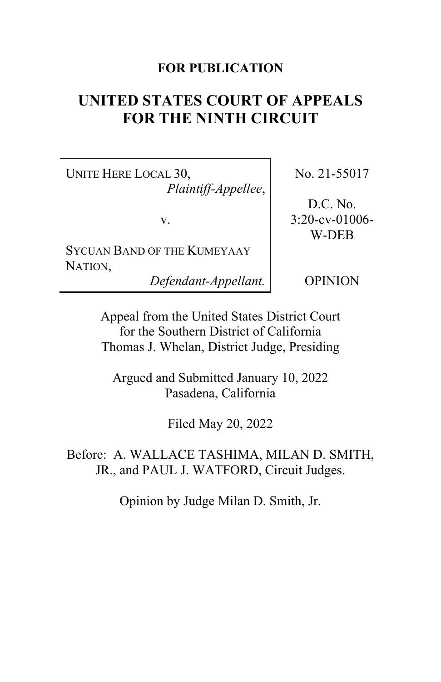## **FOR PUBLICATION**

# **UNITED STATES COURT OF APPEALS FOR THE NINTH CIRCUIT**

UNITE HERE LOCAL 30, *Plaintiff-Appellee*,

v.

SYCUAN BAND OF THE KUMEYAAY NATION,

*Defendant-Appellant.*

No. 21-55017

D.C. No. 3:20-cv-01006- W-DEB

OPINION

Appeal from the United States District Court for the Southern District of California Thomas J. Whelan, District Judge, Presiding

Argued and Submitted January 10, 2022 Pasadena, California

Filed May 20, 2022

Before: A. WALLACE TASHIMA, MILAN D. SMITH, JR., and PAUL J. WATFORD, Circuit Judges.

Opinion by Judge Milan D. Smith, Jr.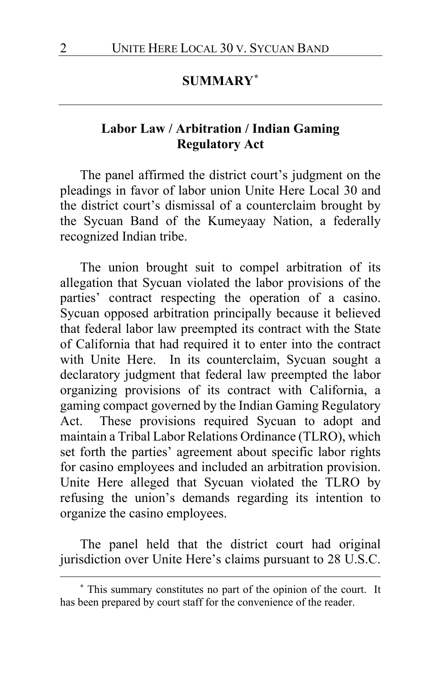# **SUMMARY[\\*](#page-1-0)**

## **Labor Law / Arbitration / Indian Gaming Regulatory Act**

The panel affirmed the district court's judgment on the pleadings in favor of labor union Unite Here Local 30 and the district court's dismissal of a counterclaim brought by the Sycuan Band of the Kumeyaay Nation, a federally recognized Indian tribe.

The union brought suit to compel arbitration of its allegation that Sycuan violated the labor provisions of the parties' contract respecting the operation of a casino. Sycuan opposed arbitration principally because it believed that federal labor law preempted its contract with the State of California that had required it to enter into the contract with Unite Here. In its counterclaim, Sycuan sought a declaratory judgment that federal law preempted the labor organizing provisions of its contract with California, a gaming compact governed by the Indian Gaming Regulatory Act. These provisions required Sycuan to adopt and maintain a Tribal Labor Relations Ordinance (TLRO), which set forth the parties' agreement about specific labor rights for casino employees and included an arbitration provision. Unite Here alleged that Sycuan violated the TLRO by refusing the union's demands regarding its intention to organize the casino employees.

The panel held that the district court had original jurisdiction over Unite Here's claims pursuant to 28 U.S.C.

<span id="page-1-0"></span>**<sup>\*</sup>** This summary constitutes no part of the opinion of the court. It has been prepared by court staff for the convenience of the reader.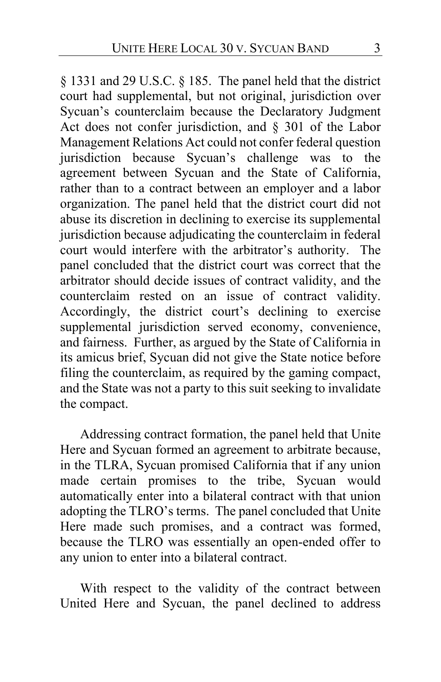§ 1331 and 29 U.S.C. § 185. The panel held that the district court had supplemental, but not original, jurisdiction over Sycuan's counterclaim because the Declaratory Judgment Act does not confer jurisdiction, and § 301 of the Labor Management Relations Act could not confer federal question jurisdiction because Sycuan's challenge was to the agreement between Sycuan and the State of California, rather than to a contract between an employer and a labor organization. The panel held that the district court did not abuse its discretion in declining to exercise its supplemental jurisdiction because adjudicating the counterclaim in federal court would interfere with the arbitrator's authority. The panel concluded that the district court was correct that the arbitrator should decide issues of contract validity, and the counterclaim rested on an issue of contract validity. Accordingly, the district court's declining to exercise supplemental jurisdiction served economy, convenience, and fairness. Further, as argued by the State of California in its amicus brief, Sycuan did not give the State notice before filing the counterclaim, as required by the gaming compact, and the State was not a party to this suit seeking to invalidate the compact.

Addressing contract formation, the panel held that Unite Here and Sycuan formed an agreement to arbitrate because, in the TLRA, Sycuan promised California that if any union made certain promises to the tribe, Sycuan would automatically enter into a bilateral contract with that union adopting the TLRO's terms. The panel concluded that Unite Here made such promises, and a contract was formed, because the TLRO was essentially an open-ended offer to any union to enter into a bilateral contract.

With respect to the validity of the contract between United Here and Sycuan, the panel declined to address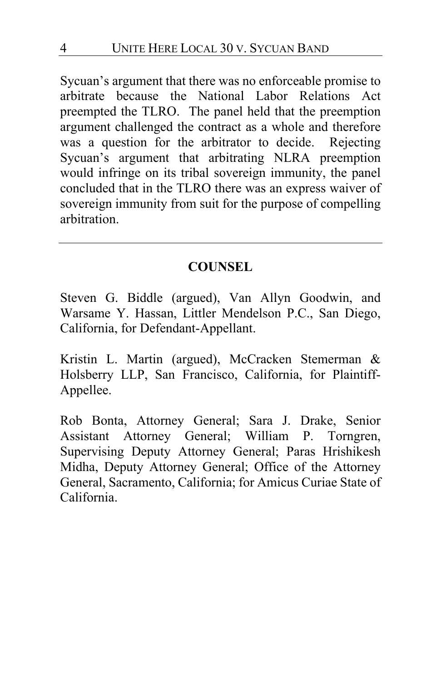Sycuan's argument that there was no enforceable promise to arbitrate because the National Labor Relations Act preempted the TLRO. The panel held that the preemption argument challenged the contract as a whole and therefore was a question for the arbitrator to decide. Rejecting Sycuan's argument that arbitrating NLRA preemption would infringe on its tribal sovereign immunity, the panel concluded that in the TLRO there was an express waiver of sovereign immunity from suit for the purpose of compelling arbitration.

## **COUNSEL**

Steven G. Biddle (argued), Van Allyn Goodwin, and Warsame Y. Hassan, Littler Mendelson P.C., San Diego, California, for Defendant-Appellant.

Kristin L. Martin (argued), McCracken Stemerman & Holsberry LLP, San Francisco, California, for Plaintiff-Appellee.

Rob Bonta, Attorney General; Sara J. Drake, Senior Assistant Attorney General; William P. Torngren, Supervising Deputy Attorney General; Paras Hrishikesh Midha, Deputy Attorney General; Office of the Attorney General, Sacramento, California; for Amicus Curiae State of California.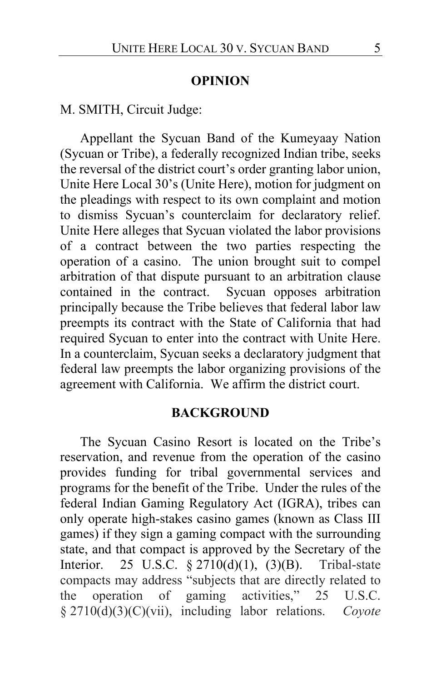#### **OPINION**

M. SMITH, Circuit Judge:

Appellant the Sycuan Band of the Kumeyaay Nation (Sycuan or Tribe), a federally recognized Indian tribe, seeks the reversal of the district court's order granting labor union, Unite Here Local 30's (Unite Here), motion for judgment on the pleadings with respect to its own complaint and motion to dismiss Sycuan's counterclaim for declaratory relief. Unite Here alleges that Sycuan violated the labor provisions of a contract between the two parties respecting the operation of a casino. The union brought suit to compel arbitration of that dispute pursuant to an arbitration clause contained in the contract. Sycuan opposes arbitration principally because the Tribe believes that federal labor law preempts its contract with the State of California that had required Sycuan to enter into the contract with Unite Here. In a counterclaim, Sycuan seeks a declaratory judgment that federal law preempts the labor organizing provisions of the agreement with California. We affirm the district court.

#### **BACKGROUND**

The Sycuan Casino Resort is located on the Tribe's reservation, and revenue from the operation of the casino provides funding for tribal governmental services and programs for the benefit of the Tribe. Under the rules of the federal Indian Gaming Regulatory Act (IGRA), tribes can only operate high-stakes casino games (known as Class III games) if they sign a gaming compact with the surrounding state, and that compact is approved by the Secretary of the Interior. 25 U.S.C. § 2710(d)(1), (3)(B). Tribal-state compacts may address "subjects that are directly related to the operation of gaming activities," 25 U.S.C. § 2710(d)(3)(C)(vii), including labor relations. *Coyote*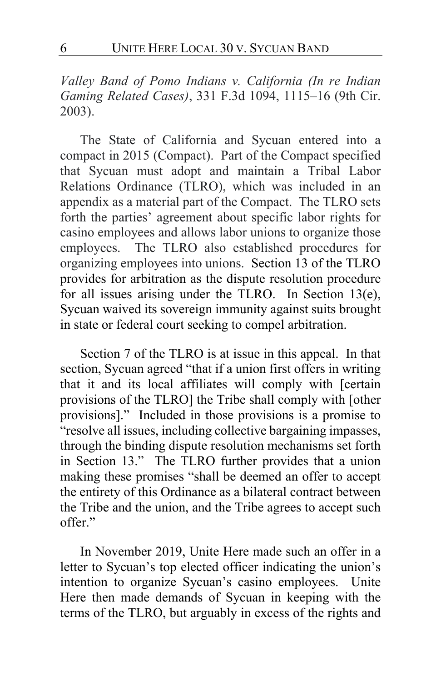*Valley Band of Pomo Indians v. California (In re Indian Gaming Related Cases)*, 331 F.3d 1094, 1115–16 (9th Cir. 2003).

The State of California and Sycuan entered into a compact in 2015 (Compact). Part of the Compact specified that Sycuan must adopt and maintain a Tribal Labor Relations Ordinance (TLRO), which was included in an appendix as a material part of the Compact. The TLRO sets forth the parties' agreement about specific labor rights for casino employees and allows labor unions to organize those employees. The TLRO also established procedures for organizing employees into unions. Section 13 of the TLRO provides for arbitration as the dispute resolution procedure for all issues arising under the TLRO. In Section 13(e), Sycuan waived its sovereign immunity against suits brought in state or federal court seeking to compel arbitration.

Section 7 of the TLRO is at issue in this appeal. In that section, Sycuan agreed "that if a union first offers in writing that it and its local affiliates will comply with [certain provisions of the TLRO] the Tribe shall comply with [other provisions]." Included in those provisions is a promise to "resolve all issues, including collective bargaining impasses, through the binding dispute resolution mechanisms set forth in Section 13." The TLRO further provides that a union making these promises "shall be deemed an offer to accept the entirety of this Ordinance as a bilateral contract between the Tribe and the union, and the Tribe agrees to accept such offer."

In November 2019, Unite Here made such an offer in a letter to Sycuan's top elected officer indicating the union's intention to organize Sycuan's casino employees. Unite Here then made demands of Sycuan in keeping with the terms of the TLRO, but arguably in excess of the rights and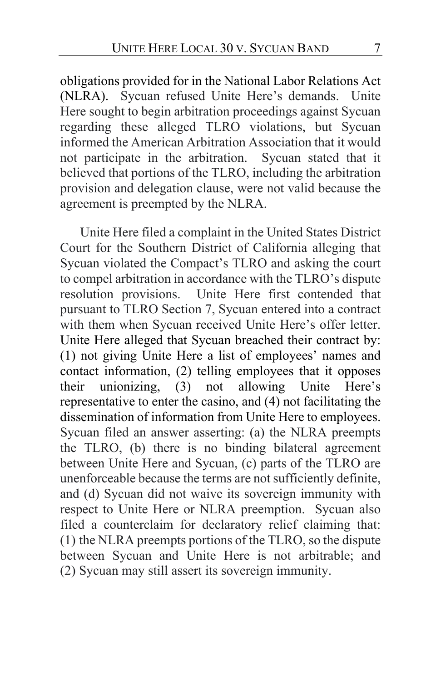obligations provided for in the National Labor Relations Act (NLRA). Sycuan refused Unite Here's demands. Unite Here sought to begin arbitration proceedings against Sycuan regarding these alleged TLRO violations, but Sycuan informed the American Arbitration Association that it would not participate in the arbitration. Sycuan stated that it believed that portions of the TLRO, including the arbitration provision and delegation clause, were not valid because the agreement is preempted by the NLRA.

Unite Here filed a complaint in the United States District Court for the Southern District of California alleging that Sycuan violated the Compact's TLRO and asking the court to compel arbitration in accordance with the TLRO's dispute resolution provisions. Unite Here first contended that pursuant to TLRO Section 7, Sycuan entered into a contract with them when Sycuan received Unite Here's offer letter. Unite Here alleged that Sycuan breached their contract by: (1) not giving Unite Here a list of employees' names and contact information, (2) telling employees that it opposes their unionizing, (3) not allowing Unite Here's representative to enter the casino, and (4) not facilitating the dissemination of information from Unite Here to employees. Sycuan filed an answer asserting: (a) the NLRA preempts the TLRO, (b) there is no binding bilateral agreement between Unite Here and Sycuan, (c) parts of the TLRO are unenforceable because the terms are not sufficiently definite, and (d) Sycuan did not waive its sovereign immunity with respect to Unite Here or NLRA preemption. Sycuan also filed a counterclaim for declaratory relief claiming that: (1) the NLRA preempts portions of the TLRO, so the dispute between Sycuan and Unite Here is not arbitrable; and (2) Sycuan may still assert its sovereign immunity.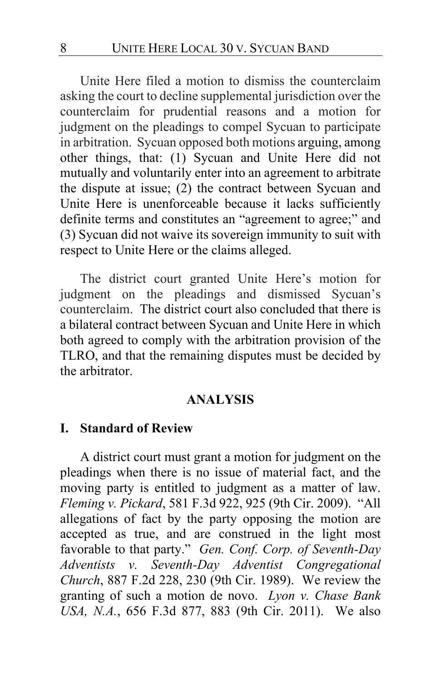Unite Here filed a motion to dismiss the counterclaim asking the court to decline supplemental jurisdiction over the counterclaim for prudential reasons and a motion for judgment on the pleadings to compel Sycuan to participate in arbitration. Sycuan opposed both motions arguing, among other things, that: (1) Sycuan and Unite Here did not mutually and voluntarily enter into an agreement to arbitrate the dispute at issue; (2) the contract between Sycuan and Unite Here is unenforceable because it lacks sufficiently definite terms and constitutes an "agreement to agree;" and (3) Sycuan did not waive its sovereign immunity to suit with respect to Unite Here or the claims alleged.

The district court granted Unite Here's motion for judgment on the pleadings and dismissed Sycuan's counterclaim. The district court also concluded that there is a bilateral contract between Sycuan and Unite Here in which both agreed to comply with the arbitration provision of the TLRO, and that the remaining disputes must be decided by the arbitrator.

#### **ANALYSIS**

#### **I. Standard of Review**

A district court must grant a motion for judgment on the pleadings when there is no issue of material fact, and the moving party is entitled to judgment as a matter of law. *Fleming v. Pickard*, 581 F.3d 922, 925 (9th Cir. 2009). "All allegations of fact by the party opposing the motion are accepted as true, and are construed in the light most favorable to that party." *Gen. Conf. Corp. of Seventh-Day Adventists v. Seventh-Day Adventist Congregational Church*, 887 F.2d 228, 230 (9th Cir. 1989). We review the granting of such a motion de novo. *Lyon v. Chase Bank USA, N.A.*, 656 F.3d 877, 883 (9th Cir. 2011). We also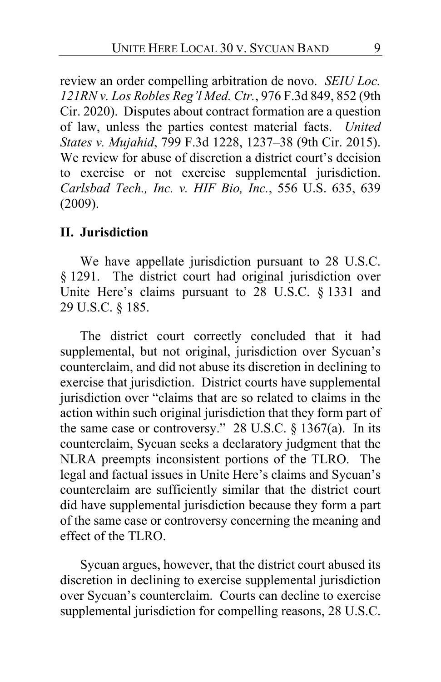review an order compelling arbitration de novo. *SEIU Loc. 121RN v. Los Robles Reg'l Med. Ctr.*, 976 F.3d 849, 852 (9th Cir. 2020). Disputes about contract formation are a question of law, unless the parties contest material facts. *United States v. Mujahid*, 799 F.3d 1228, 1237–38 (9th Cir. 2015). We review for abuse of discretion a district court's decision to exercise or not exercise supplemental jurisdiction. *Carlsbad Tech., Inc. v. HIF Bio, Inc.*, 556 U.S. 635, 639 (2009).

#### **II. Jurisdiction**

We have appellate jurisdiction pursuant to 28 U.S.C. § 1291. The district court had original jurisdiction over Unite Here's claims pursuant to 28 U.S.C. § 1331 and 29 U.S.C. § 185.

The district court correctly concluded that it had supplemental, but not original, jurisdiction over Sycuan's counterclaim, and did not abuse its discretion in declining to exercise that jurisdiction. District courts have supplemental jurisdiction over "claims that are so related to claims in the action within such original jurisdiction that they form part of the same case or controversy." 28 U.S.C. § 1367(a). In its counterclaim, Sycuan seeks a declaratory judgment that the NLRA preempts inconsistent portions of the TLRO. The legal and factual issues in Unite Here's claims and Sycuan's counterclaim are sufficiently similar that the district court did have supplemental jurisdiction because they form a part of the same case or controversy concerning the meaning and effect of the TLRO.

Sycuan argues, however, that the district court abused its discretion in declining to exercise supplemental jurisdiction over Sycuan's counterclaim. Courts can decline to exercise supplemental jurisdiction for compelling reasons, 28 U.S.C.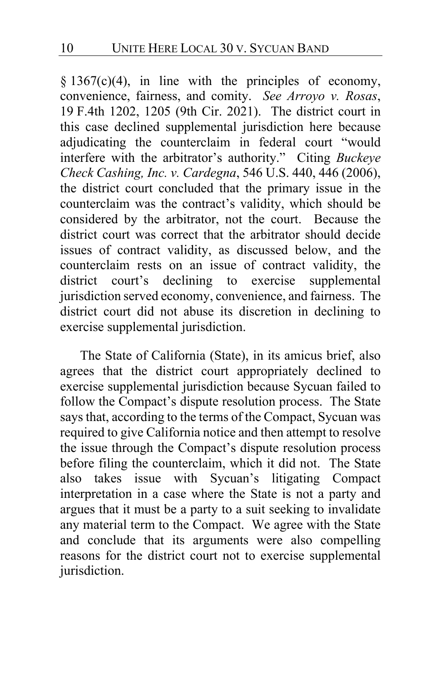$§ 1367(c)(4)$ , in line with the principles of economy, convenience, fairness, and comity. *See Arroyo v. Rosas*, 19 F.4th 1202, 1205 (9th Cir. 2021). The district court in this case declined supplemental jurisdiction here because adjudicating the counterclaim in federal court "would interfere with the arbitrator's authority." Citing *Buckeye Check Cashing, Inc. v. Cardegna*, 546 U.S. 440, 446 (2006), the district court concluded that the primary issue in the counterclaim was the contract's validity, which should be considered by the arbitrator, not the court. Because the district court was correct that the arbitrator should decide issues of contract validity, as discussed below, and the counterclaim rests on an issue of contract validity, the district court's declining to exercise supplemental jurisdiction served economy, convenience, and fairness. The district court did not abuse its discretion in declining to exercise supplemental jurisdiction.

The State of California (State), in its amicus brief, also agrees that the district court appropriately declined to exercise supplemental jurisdiction because Sycuan failed to follow the Compact's dispute resolution process. The State says that, according to the terms of the Compact, Sycuan was required to give California notice and then attempt to resolve the issue through the Compact's dispute resolution process before filing the counterclaim, which it did not. The State also takes issue with Sycuan's litigating Compact interpretation in a case where the State is not a party and argues that it must be a party to a suit seeking to invalidate any material term to the Compact. We agree with the State and conclude that its arguments were also compelling reasons for the district court not to exercise supplemental jurisdiction.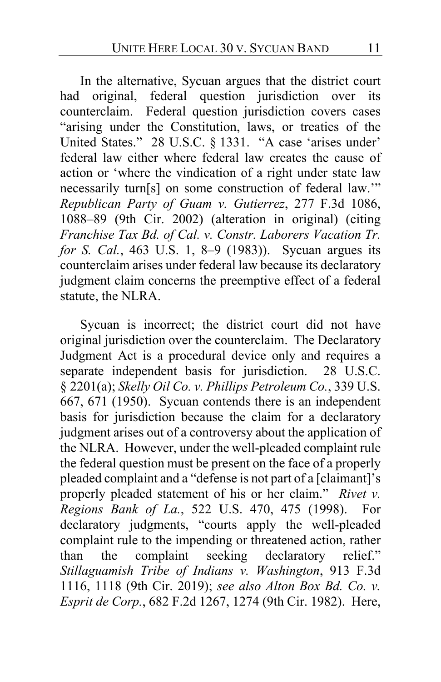In the alternative, Sycuan argues that the district court had original, federal question jurisdiction over its counterclaim. Federal question jurisdiction covers cases "arising under the Constitution, laws, or treaties of the United States." 28 U.S.C. § 1331. "A case 'arises under' federal law either where federal law creates the cause of action or 'where the vindication of a right under state law necessarily turn[s] on some construction of federal law.'" *Republican Party of Guam v. Gutierrez*, 277 F.3d 1086, 1088–89 (9th Cir. 2002) (alteration in original) (citing *Franchise Tax Bd. of Cal. v. Constr. Laborers Vacation Tr. for S. Cal.*, 463 U.S. 1, 8–9 (1983)). Sycuan argues its counterclaim arises under federal law because its declaratory judgment claim concerns the preemptive effect of a federal statute, the NLRA.

Sycuan is incorrect; the district court did not have original jurisdiction over the counterclaim. The Declaratory Judgment Act is a procedural device only and requires a separate independent basis for jurisdiction. 28 U.S.C. § 2201(a); *Skelly Oil Co. v. Phillips Petroleum Co.*, 339 U.S. 667, 671 (1950). Sycuan contends there is an independent basis for jurisdiction because the claim for a declaratory judgment arises out of a controversy about the application of the NLRA. However, under the well-pleaded complaint rule the federal question must be present on the face of a properly pleaded complaint and a "defense is not part of a [claimant]'s properly pleaded statement of his or her claim." *Rivet v. Regions Bank of La.*, 522 U.S. 470, 475 (1998). For declaratory judgments, "courts apply the well-pleaded complaint rule to the impending or threatened action, rather than the complaint seeking declaratory relief." *Stillaguamish Tribe of Indians v. Washington*, 913 F.3d 1116, 1118 (9th Cir. 2019); *see also Alton Box Bd. Co. v. Esprit de Corp.*, 682 F.2d 1267, 1274 (9th Cir. 1982). Here,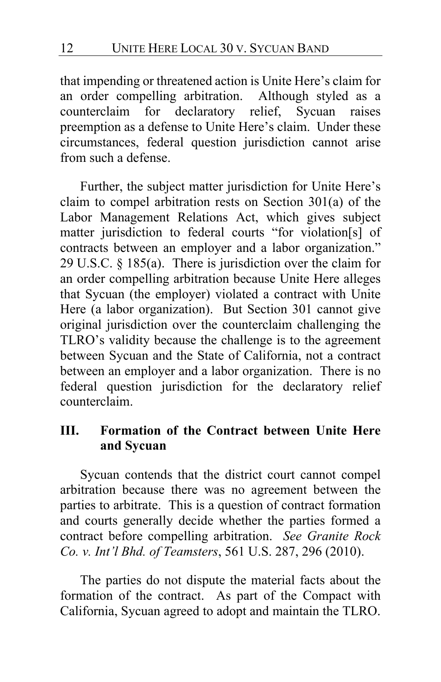that impending or threatened action is Unite Here's claim for an order compelling arbitration. Although styled as a counterclaim for declaratory relief, Sycuan raises preemption as a defense to Unite Here's claim. Under these circumstances, federal question jurisdiction cannot arise from such a defense.

Further, the subject matter jurisdiction for Unite Here's claim to compel arbitration rests on Section 301(a) of the Labor Management Relations Act, which gives subject matter jurisdiction to federal courts "for violation[s] of contracts between an employer and a labor organization." 29 U.S.C. § 185(a). There is jurisdiction over the claim for an order compelling arbitration because Unite Here alleges that Sycuan (the employer) violated a contract with Unite Here (a labor organization). But Section 301 cannot give original jurisdiction over the counterclaim challenging the TLRO's validity because the challenge is to the agreement between Sycuan and the State of California, not a contract between an employer and a labor organization. There is no federal question jurisdiction for the declaratory relief counterclaim.

# **III. Formation of the Contract between Unite Here and Sycuan**

Sycuan contends that the district court cannot compel arbitration because there was no agreement between the parties to arbitrate. This is a question of contract formation and courts generally decide whether the parties formed a contract before compelling arbitration. *See Granite Rock Co. v. Int'l Bhd. of Teamsters*, 561 U.S. 287, 296 (2010).

The parties do not dispute the material facts about the formation of the contract. As part of the Compact with California, Sycuan agreed to adopt and maintain the TLRO.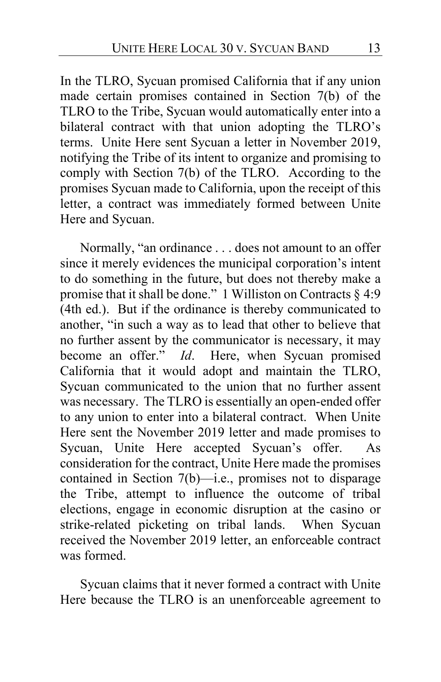In the TLRO, Sycuan promised California that if any union made certain promises contained in Section 7(b) of the TLRO to the Tribe, Sycuan would automatically enter into a bilateral contract with that union adopting the TLRO's terms. Unite Here sent Sycuan a letter in November 2019, notifying the Tribe of its intent to organize and promising to comply with Section 7(b) of the TLRO. According to the promises Sycuan made to California, upon the receipt of this letter, a contract was immediately formed between Unite Here and Sycuan.

Normally, "an ordinance . . . does not amount to an offer since it merely evidences the municipal corporation's intent to do something in the future, but does not thereby make a promise that it shall be done." 1 Williston on Contracts  $\S$  4:9 (4th ed.). But if the ordinance is thereby communicated to another, "in such a way as to lead that other to believe that no further assent by the communicator is necessary, it may become an offer." *Id*. Here, when Sycuan promised California that it would adopt and maintain the TLRO, Sycuan communicated to the union that no further assent was necessary. The TLRO is essentially an open-ended offer to any union to enter into a bilateral contract. When Unite Here sent the November 2019 letter and made promises to Sycuan, Unite Here accepted Sycuan's offer. As consideration for the contract, Unite Here made the promises contained in Section 7(b)—i.e., promises not to disparage the Tribe, attempt to influence the outcome of tribal elections, engage in economic disruption at the casino or strike-related picketing on tribal lands. When Sycuan received the November 2019 letter, an enforceable contract was formed.

Sycuan claims that it never formed a contract with Unite Here because the TLRO is an unenforceable agreement to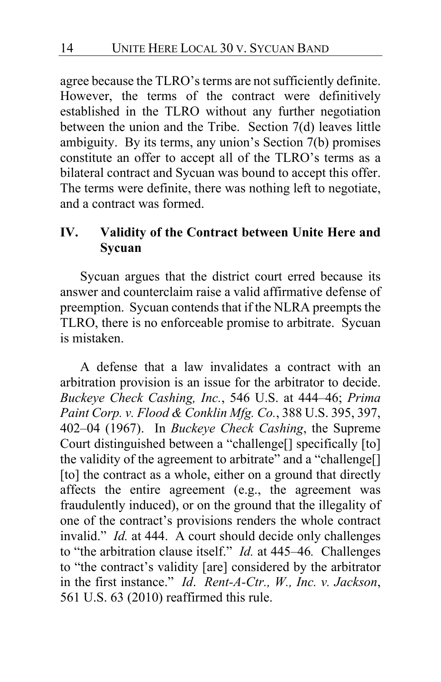agree because the TLRO's terms are not sufficiently definite. However, the terms of the contract were definitively established in the TLRO without any further negotiation between the union and the Tribe. Section 7(d) leaves little ambiguity. By its terms, any union's Section 7(b) promises constitute an offer to accept all of the TLRO's terms as a bilateral contract and Sycuan was bound to accept this offer. The terms were definite, there was nothing left to negotiate, and a contract was formed.

# **IV. Validity of the Contract between Unite Here and Sycuan**

Sycuan argues that the district court erred because its answer and counterclaim raise a valid affirmative defense of preemption. Sycuan contends that if the NLRA preempts the TLRO, there is no enforceable promise to arbitrate. Sycuan is mistaken.

A defense that a law invalidates a contract with an arbitration provision is an issue for the arbitrator to decide. *Buckeye Check Cashing, Inc.*, 546 U.S. at 444–46; *Prima Paint Corp. v. Flood & Conklin Mfg. Co.*, 388 U.S. 395, 397, 402–04 (1967). In *Buckeye Check Cashing*, the Supreme Court distinguished between a "challenge[] specifically [to] the validity of the agreement to arbitrate" and a "challenge[] [to] the contract as a whole, either on a ground that directly affects the entire agreement (e.g., the agreement was fraudulently induced), or on the ground that the illegality of one of the contract's provisions renders the whole contract invalid." *Id.* at 444. A court should decide only challenges to "the arbitration clause itself." *Id.* at 445–46*.* Challenges to "the contract's validity [are] considered by the arbitrator in the first instance." *Id*. *Rent-A-Ctr., W., Inc. v. Jackson*, 561 U.S. 63 (2010) reaffirmed this rule.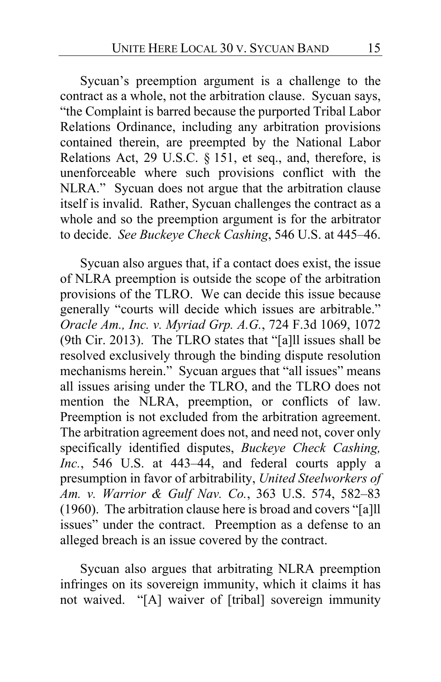Sycuan's preemption argument is a challenge to the contract as a whole, not the arbitration clause. Sycuan says, "the Complaint is barred because the purported Tribal Labor Relations Ordinance, including any arbitration provisions contained therein, are preempted by the National Labor Relations Act, 29 U.S.C. § 151, et seq., and, therefore, is unenforceable where such provisions conflict with the NLRA." Sycuan does not argue that the arbitration clause itself is invalid. Rather, Sycuan challenges the contract as a whole and so the preemption argument is for the arbitrator to decide. *See Buckeye Check Cashing*, 546 U.S. at 445–46.

Sycuan also argues that, if a contact does exist, the issue of NLRA preemption is outside the scope of the arbitration provisions of the TLRO.We can decide this issue because generally "courts will decide which issues are arbitrable." *Oracle Am., Inc. v. Myriad Grp. A.G.*, 724 F.3d 1069, 1072 (9th Cir. 2013). The TLRO states that "[a]ll issues shall be resolved exclusively through the binding dispute resolution mechanisms herein." Sycuan argues that "all issues" means all issues arising under the TLRO, and the TLRO does not mention the NLRA, preemption, or conflicts of law. Preemption is not excluded from the arbitration agreement. The arbitration agreement does not, and need not, cover only specifically identified disputes, *Buckeye Check Cashing, Inc.*, 546 U.S. at 443–44, and federal courts apply a presumption in favor of arbitrability, *United Steelworkers of Am. v. Warrior & Gulf Nav. Co.*, 363 U.S. 574, 582–83 (1960). The arbitration clause here is broad and covers "[a]ll issues" under the contract. Preemption as a defense to an alleged breach is an issue covered by the contract.

Sycuan also argues that arbitrating NLRA preemption infringes on its sovereign immunity, which it claims it has not waived. "[A] waiver of [tribal] sovereign immunity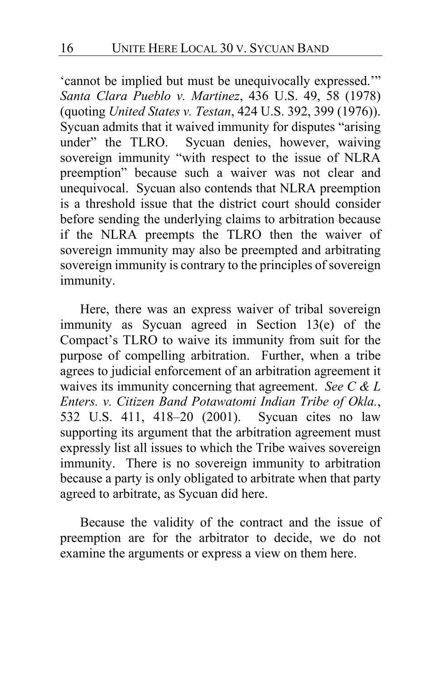'cannot be implied but must be unequivocally expressed.'" *Santa Clara Pueblo v. Martinez*, 436 U.S. 49, 58 (1978) (quoting *United States v. Testan*, 424 U.S. 392, 399 (1976)). Sycuan admits that it waived immunity for disputes "arising<br>under" the TLRO. Sycuan denies, however, waiving Sycuan denies, however, waiving sovereign immunity "with respect to the issue of NLRA preemption" because such a waiver was not clear and unequivocal. Sycuan also contends that NLRA preemption is a threshold issue that the district court should consider before sending the underlying claims to arbitration because if the NLRA preempts the TLRO then the waiver of sovereign immunity may also be preempted and arbitrating sovereign immunity is contrary to the principles of sovereign immunity.

Here, there was an express waiver of tribal sovereign immunity as Sycuan agreed in Section 13(e) of the Compact's TLRO to waive its immunity from suit for the purpose of compelling arbitration. Further, when a tribe agrees to judicial enforcement of an arbitration agreement it waives its immunity concerning that agreement. *See C & L Enters. v. Citizen Band Potawatomi Indian Tribe of Okla.*, 532 U.S. 411, 418–20 (2001). Sycuan cites no law supporting its argument that the arbitration agreement must expressly list all issues to which the Tribe waives sovereign immunity. There is no sovereign immunity to arbitration because a party is only obligated to arbitrate when that party agreed to arbitrate, as Sycuan did here.

Because the validity of the contract and the issue of preemption are for the arbitrator to decide, we do not examine the arguments or express a view on them here.